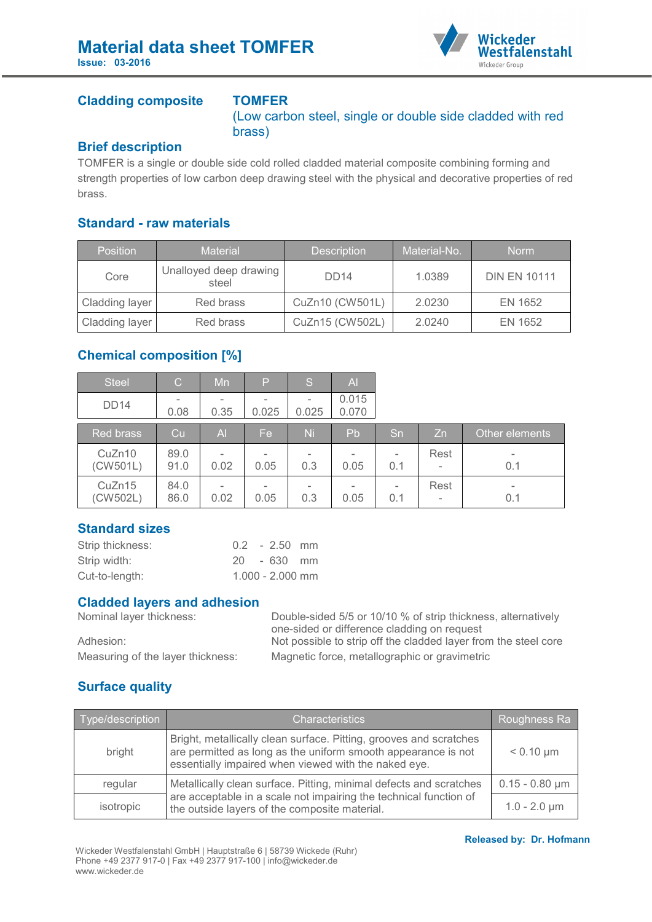

#### **Cladding composite TOMFER**

(Low carbon steel, single or double side cladded with red brass)

#### **Brief description**

TOMFER is a single or double side cold rolled cladded material composite combining forming and strength properties of low carbon deep drawing steel with the physical and decorative properties of red brass.

#### **Standard - raw materials**

| <b>Position</b> | <b>Material</b>                 | <b>Description</b> | Material-No. | <b>Norm</b>         |
|-----------------|---------------------------------|--------------------|--------------|---------------------|
| Core            | Unalloyed deep drawing<br>steel | DD <sub>14</sub>   | 1.0389       | <b>DIN EN 10111</b> |
| Cladding layer  | Red brass                       | CuZn10 (CW501L)    | 2.0230       | EN 1652             |
| Cladding layer  | Red brass                       | CuZn15 (CW502L)    | 2.0240       | EN 1652             |

### **Chemical composition [%]**

| <b>Steel</b>       | $\mathcal{C}$ | Mn                               | P     | S                               | $\overline{A}$                   |     |                                  |                |
|--------------------|---------------|----------------------------------|-------|---------------------------------|----------------------------------|-----|----------------------------------|----------------|
| <b>DD14</b>        | 0.08          | $\overline{\phantom{a}}$<br>0.35 | 0.025 | 0.025                           | 0.015<br>0.070                   |     |                                  |                |
| <b>Red brass</b>   | Cu            | $\overline{A}$                   | Fe.   | Ni                              | Pb                               | Sn  | Zn.                              | Other elements |
| CuZn10<br>(CW501L) | 89.0<br>91.0  | $\overline{\phantom{a}}$<br>0.02 | 0.05  | $\overline{\phantom{a}}$<br>0.3 | $\overline{\phantom{0}}$<br>0.05 | 0.1 | Rest<br>$\overline{\phantom{a}}$ | ۰<br>0.1       |
| CuZn15<br>(CW502L) | 84.0<br>86.0  | $\overline{\phantom{0}}$<br>0.02 | 0.05  | $\overline{\phantom{a}}$<br>0.3 | $\qquad \qquad$<br>0.05          | 0.1 | Rest<br>$\overline{\phantom{a}}$ | ۰<br>0.1       |

#### **Standard sizes**

| Strip thickness: |  | $0.2 - 2.50$ mm    |  |
|------------------|--|--------------------|--|
| Strip width:     |  | 20 - 630 mm        |  |
| Cut-to-length:   |  | $1.000 - 2.000$ mm |  |

# **Cladded layers and adhesion**

Double-sided 5/5 or 10/10 % of strip thickness, alternatively one-sided or difference cladding on request Adhesion: Not possible to strip off the cladded layer from the steel core Measuring of the layer thickness: Magnetic force, metallographic or gravimetric

## **Surface quality**

| Type/description | <b>Characteristics</b>                                                                                                                                                                      | Roughness Ra        |
|------------------|---------------------------------------------------------------------------------------------------------------------------------------------------------------------------------------------|---------------------|
| bright           | Bright, metallically clean surface. Pitting, grooves and scratches<br>are permitted as long as the uniform smooth appearance is not<br>essentially impaired when viewed with the naked eye. | $< 0.10 \mu m$      |
| regular          | Metallically clean surface. Pitting, minimal defects and scratches                                                                                                                          | $0.15 - 0.80 \mu m$ |
| isotropic        | are acceptable in a scale not impairing the technical function of<br>the outside layers of the composite material.                                                                          | $1.0 - 2.0 \mu m$   |

#### **Released by: Dr. Hofmann**